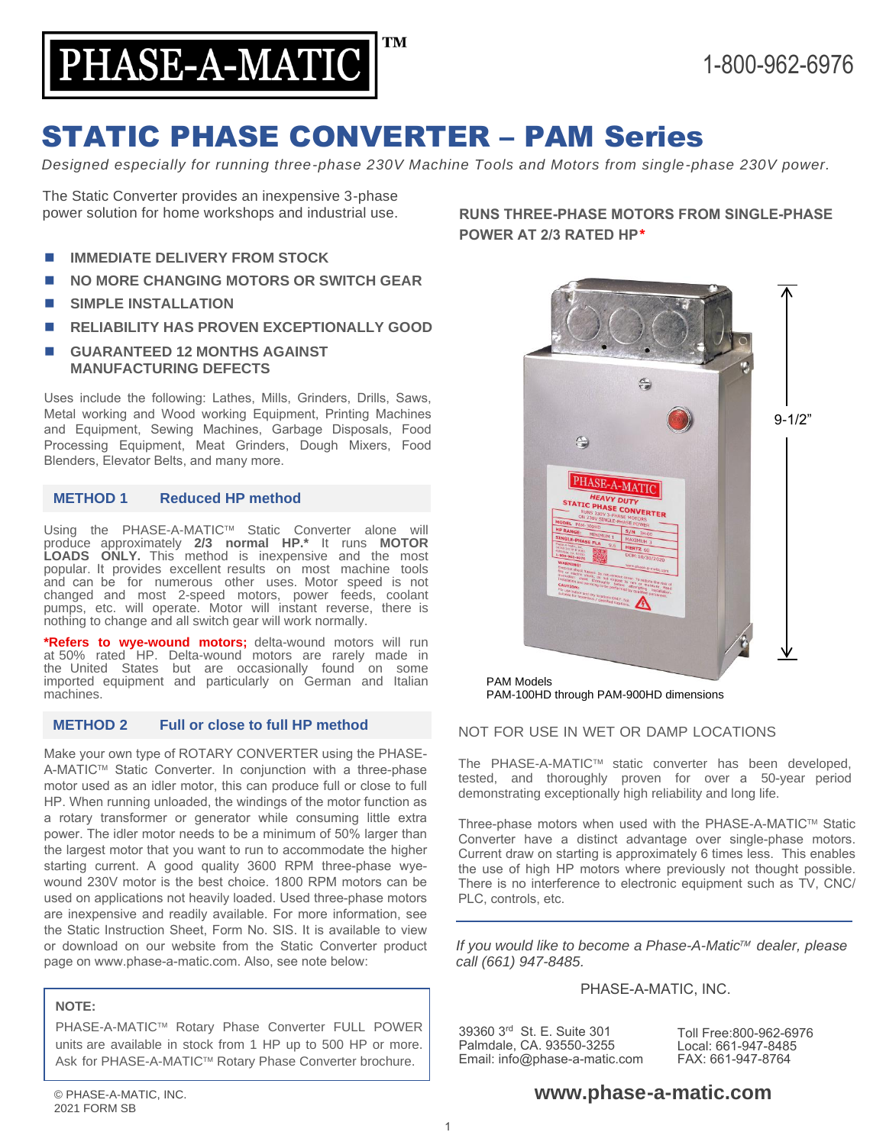

# STATIC PHASE CONVERTER – PAM Series

*Designed especially for running three-phase 230V Machine Tools and Motors from single-phase 230V power.*

The Static Converter provides an inexpensive 3-phase power solution for home workshops and industrial use.

- ◼ **IMMEDIATE DELIVERY FROM STOCK**
- **NO MORE CHANGING MOTORS OR SWITCH GEAR**
- **SIMPLE INSTALLATION**
- ◼ **RELIABILITY HAS PROVEN EXCEPTIONALLY GOOD**
- ◼ **GUARANTEED 12 MONTHS AGAINST MANUFACTURING DEFECTS**

Uses include the following: Lathes, Mills, Grinders, Drills, Saws, Metal working and Wood working Equipment, Printing Machines and Equipment, Sewing Machines, Garbage Disposals, Food Processing Equipment, Meat Grinders, Dough Mixers, Food Blenders, Elevator Belts, and many more.

### **METHOD 1 Reduced HP method**

Using the PHASE-A-MATIC™ Static Converter alone will produce approximately **2/3 normal HP.\*** It runs **MOTOR LOADS ONLY.** This method is inexpensive and the most popular. It provides excellent results on most machine tools and can be for numerous other uses. Motor speed is not changed and most 2-speed motors, power feeds, coolant pumps, etc. will operate. Motor will instant reverse, there is nothing to change and all switch gear will work normally.

**\*Refers to wye-wound motors;** delta-wound motors will run at 50% rated HP. Delta-wound motors are rarely made in the United States but are occasionally found on some imported equipment and particularly on German and Italian machines.

### **METHOD 2 Full or close to full HP method**

Make your own type of ROTARY CONVERTER using the PHASE-A-MATIC™ Static Converter. In conjunction with a three-phase motor used as an idler motor, this can produce full or close to full HP. When running unloaded, the windings of the motor function as a rotary transformer or generator while consuming little extra power. The idler motor needs to be a minimum of 50% larger than the largest motor that you want to run to accommodate the higher starting current. A good quality 3600 RPM three-phase wyewound 230V motor is the best choice. 1800 RPM motors can be used on applications not heavily loaded. Used three-phase motors are inexpensive and readily available. For more information, see the Static Instruction Sheet, Form No. SIS. It is available to view or download on our website from the Static Converter product page on www.phase-a-matic.com. Also, see note below:

### **NOTE:**

PHASE-A-MATIC™ Rotary Phase Converter FULL POWER units are available in stock from 1 HP up to 500 HP or more. Ask for PHASE-A-MATIC™ Rotary Phase Converter brochure.

**RUNS THREE-PHASE MOTORS FROM SINGLE-PHASE POWER AT 2/3 RATED HP**\*



PAM-100HD through PAM-900HD dimensions

### NOT FOR USE IN WET OR DAMP LOCATIONS

The PHASE-A-MATIC™ static converter has been developed, tested, and thoroughly proven for over a 50-year period demonstrating exceptionally high reliability and long life.

Three-phase motors when used with the PHASE-A-MATIC™ Static Converter have a distinct advantage over single-phase motors. Current draw on starting is approximately 6 times less. This enables the use of high HP motors where previously not thought possible. There is no interference to electronic equipment such as TV, CNC/ PLC, controls, etc.

*If you would like to become a Phase-A-Matic<sup>™</sup> dealer, please call (661) 947-8485.*

## PHASE-A-MATIC, INC.

39360 3rd St. E. Suite 301 Palmdale, CA. 93550-3255 Email: info@phase-a-matic.com

Toll Free:800-962-6976 Local: 661-947-8485 FAX: 661-947-8764

## **www.phase-a-matic.com**